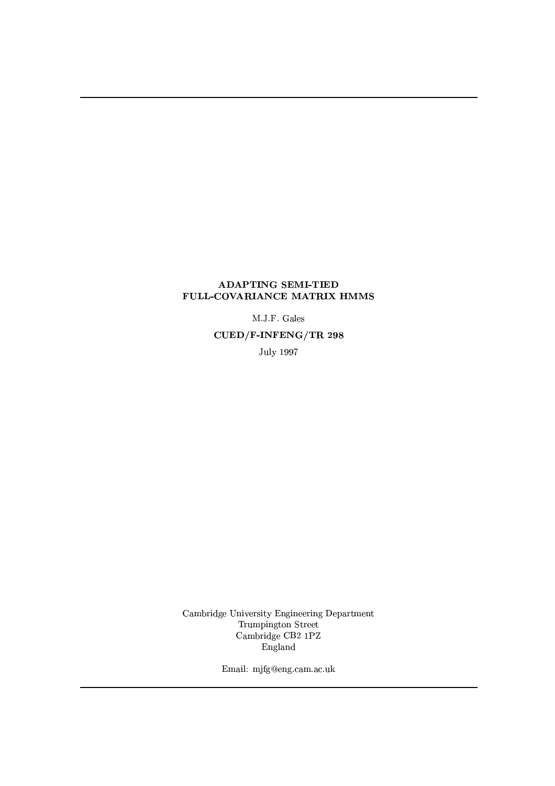## ADAPTING SEMI-TIED FULL-COVARIANCE MATRIX HMMS

M.J.F. Gales

 $CUED/F-INFERG/TR$  298

**July 1997** 

Cambridge University Engineering Department Trumpington Street Cambridge CB2 1PZ England

Email: mjfg@eng.cam.ac.uk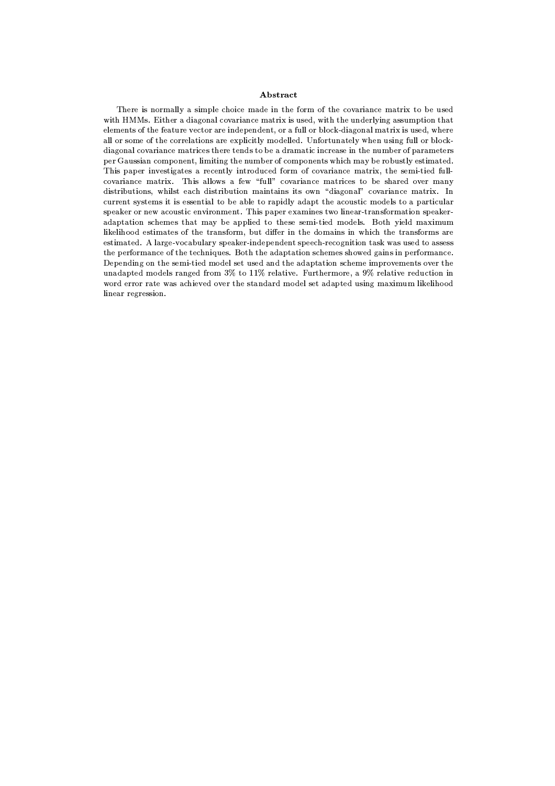### Abstract

There is normally a simple choice made in the form of the covariance matrix to be used with HMMs. Either a diagonal covariance matrix is used, with the underlying assumption that elements of the feature vector are independent, or a full or block-diagonal matrix is used, where all or some of the correlations are explicitly modelled. Unfortunately when using full or blockdiagonal covariance matrices there tends to be a dramatic increase in the number of parameters per Gaussian component, limiting the number of components which may be robustly estimated. This paper investigates a recently introduced form of covariance matrix, the semi-tied fullcovariance matrix. This allows a few "full" covariance matrices to be shared over many distributions, whilst each distribution maintains its own "diagonal" covariance matrix. In current systems it is essential to be able to rapidly adapt the acoustic models to a particular speaker or new acoustic environment. This paper examines two linear-transformation speakeradaptation schemes that may be applied to these semi-tied models. Both yield maximum likelihood estimates of the transform, but differ in the domains in which the transforms are estimated. A large-vocabulary speaker-independent speech-recognition task was used to assess the performance of the techniques. Both the adaptation schemes showed gains in performance. Depending on the semi-tied model set used and the adaptation scheme improvements over the unadapted models ranged from 3% to 11% relative. Furthermore, a 9% relative reduction in word error rate was achieved over the standard model set adapted using maximum likelihood linear regression.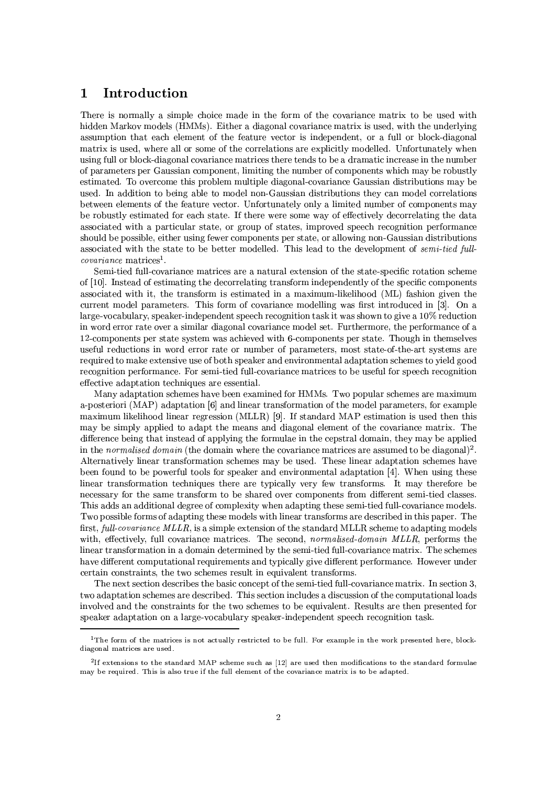### Introduction  $\mathbf{1}$

There is normally a simple choice made in the form of the covariance matrix to be used with hidden Markov models (HMMs). Either a diagonal covariance matrix is used, with the underlying assumption that each element of the feature vector is independent, or a full or block-diagonal matrix is used, where all or some of the correlations are explicitly modelled. Unfortunately when using full or block-diagonal covariance matrices there tends to be a dramatic increase in the number of parameters per Gaussian component, limiting the number of components which may be robustly estimated. To overcome this problem multiple diagonal-covariance Gaussian distributions may be used. In addition to being able to model non-Gaussian distributions they can model correlations between elements of the feature vector. Unfortunately only a limited number of components may be robustly estimated for each state. If there were some way of effectively decorrelating the data associated with a particular state, or group of states, improved speech recognition performance should be possible, either using fewer components per state, or allowing non-Gaussian distributions associated with the state to be better modelled. This lead to the development of semi-tied full*covariance* matrices<sup>1</sup>.

Semi-tied full-covariance matrices are a natural extension of the state-specific rotation scheme of [10]. Instead of estimating the decorrelating transform independently of the specific components associated with it, the transform is estimated in a maximum-likelihood (ML) fashion given the current model parameters. This form of covariance modelling was first introduced in [3]. On a large-vocabulary, speaker-independent speech recognition task it was shown to give a 10% reduction in word error rate over a similar diagonal covariance model set. Furthermore, the performance of a 12-components per state system was achieved with 6-components per state. Though in themselves useful reductions in word error rate or number of parameters, most state-of-the-art systems are required to make extensive use of both speaker and environmental adaptation schemes to yield good recognition performance. For semi-tied full-covariance matrices to be useful for speech recognition effective adaptation techniques are essential.

Many adaptation schemes have been examined for HMMs. Two popular schemes are maximum a-posteriori (MAP) adaptation [6] and linear transformation of the model parameters, for example maximum likelihood linear regression (MLLR) [9]. If standard MAP estimation is used then this may be simply applied to adapt the means and diagonal element of the covariance matrix. The difference being that instead of applying the formulae in the cepstral domain, they may be applied in the *normalised domain* (the domain where the covariance matrices are assumed to be diagonal)<sup>2</sup>. Alternatively linear transformation schemes may be used. These linear adaptation schemes have been found to be powerful tools for speaker and environmental adaptation [4]. When using these linear transformation techniques there are typically very few transforms. It may therefore be necessary for the same transform to be shared over components from different semi-tied classes. This adds an additional degree of complexity when adapting these semi-tied full-covariance models. Two possible forms of adapting these models with linear transforms are described in this paper. The first, full-covariance MLLR, is a simple extension of the standard MLLR scheme to adapting models with, effectively, full covariance matrices. The second, *normalised-domain MLLR*, performs the linear transformation in a domain determined by the semi-tied full-covariance matrix. The schemes have different computational requirements and typically give different performance. However under certain constraints, the two schemes result in equivalent transforms.

The next section describes the basic concept of the semi-tied full-covariance matrix. In section 3, two adaptation schemes are described. This section includes a discussion of the computational loads involved and the constraints for the two schemes to be equivalent. Results are then presented for speaker adaptation on a large-vocabulary speaker-independent speech recognition task.

<sup>&</sup>lt;sup>1</sup>The form of the matrices is not actually restricted to be full. For example in the work presented here, blockdiagonal matrices are used.

<sup>&</sup>lt;sup>2</sup>If extensions to the standard MAP scheme such as  $[12]$  are used then modifications to the standard formulae may be required. This is also true if the full element of the covariance matrix is to be adapted.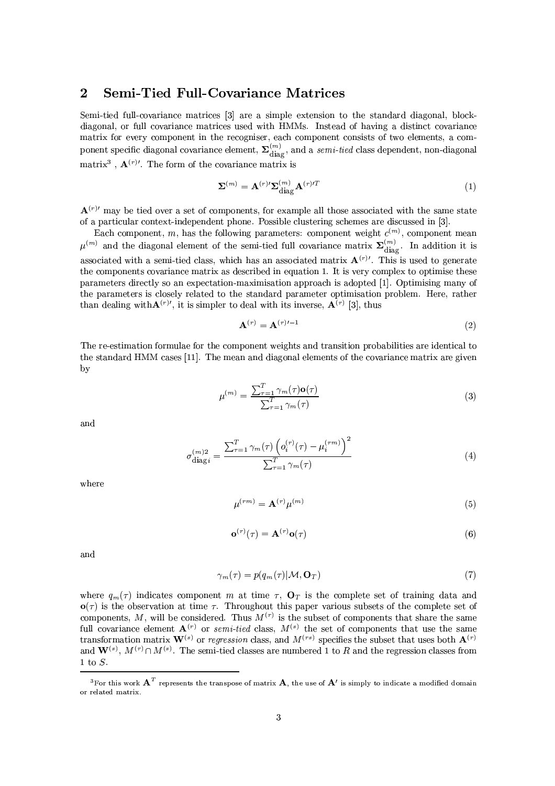### $\overline{2}$ **Semi-Tied Full-Covariance Matrices**

Semi-tied full-covariance matrices [3] are a simple extension to the standard diagonal, blockdiagonal, or full covariance matrices used with HMMs. Instead of having a distinct covariance matrix for every component in the recogniser, each component consists of two elements, a component specific diagonal covariance element,  $\Sigma_{\text{diag}}^{(m)}$ , and a *semi-tied* class dependent, non-diagonal matrix<sup>3</sup>,  $\mathbf{A}^{(r)}$ . The form of the covariance matrix is

$$
\mathbf{\Sigma}^{(m)} = \mathbf{A}^{(r)\prime} \mathbf{\Sigma}_{\text{diag}}^{(m)} \mathbf{A}^{(r)\prime T}
$$
 (1)

 ${\bf A}^{(r)}$  may be tied over a set of components, for example all those associated with the same state of a particular context-independent phone. Possible clustering schemes are discussed in [3].

Each component, m, has the following parameters: component weight  $c^{(m)}$ , component mean  $\mu^{(m)}$  and the diagonal element of the semi-tied full covariance matrix  $\Sigma_{\text{diag}}^{(m)}$ . In addition it is associated with a semi-tied class, which has an associated matrix  $\mathbf{A}^{(r)}$ . This is used to generate the components covariance matrix as described in equation 1. It is very complex to optimise these parameters directly so an expectation-maximisation approach is adopted [1]. Optimising many of the parameters is closely related to the standard parameter optimisation problem. Here, rather than dealing with  $\mathbf{A}^{(r)}$ , it is simpler to deal with its inverse,  $\mathbf{A}^{(r)}$  [3], thus

$$
\mathbf{A}^{(r)} = \mathbf{A}^{(r)} - 1 \tag{2}
$$

The re-estimation formulae for the component weights and transition probabilities are identical to the standard HMM cases [11]. The mean and diagonal elements of the covariance matrix are given by

$$
\mu^{(m)} = \frac{\sum_{\tau=1}^{T} \gamma_m(\tau) \mathbf{o}(\tau)}{\sum_{\tau=1}^{T} \gamma_m(\tau)}
$$
(3)

and

$$
\sigma_{\text{diag}i}^{(m)2} = \frac{\sum_{\tau=1}^{T} \gamma_m(\tau) \left( o_i^{(\tau)}(\tau) - \mu_i^{(rm)} \right)^2}{\sum_{\tau=1}^{T} \gamma_m(\tau)}
$$
(4)

where

$$
\mu^{(rm)} = \mathbf{A}^{(r)} \mu^{(m)} \tag{5}
$$

$$
\mathbf{o}^{(r)}(\tau) = \mathbf{A}^{(r)} \mathbf{o}(\tau) \tag{6}
$$

and

$$
\gamma_m(\tau) = p(q_m(\tau)|\mathcal{M}, \mathbf{O}_T) \tag{7}
$$

where  $q_m(\tau)$  indicates component m at time  $\tau$ ,  $\mathbf{O}_T$  is the complete set of training data and  $\mathbf{o}(\tau)$  is the observation at time  $\tau$ . Throughout this paper various subsets of the complete set of components, M, will be considered. Thus  $M^{(r)}$  is the subset of components that share the same full covariance element  $\mathbf{A}^{(r)}$  or *semi-tied* class,  $M^{(s)}$  the set of components that use the same transformation matrix  $\mathbf{W}^{(s)}$  or *regression* class, and  $M^{(rs)}$  specifies the subset that uses both  $\mathbf{A}^{(r)}$ and  $\mathbf{W}^{(s)}$ ,  $M^{(r)} \cap M^{(s)}$ . The semi-tied classes are numbered 1 to R and the regression classes from 1 to  $S$ .

<sup>&</sup>lt;sup>3</sup>For this work  $\mathbf{A}^T$  represents the transpose of matrix  $\mathbf{A}$ , the use of  $\mathbf{A}'$  is simply to indicate a modified domain or related matrix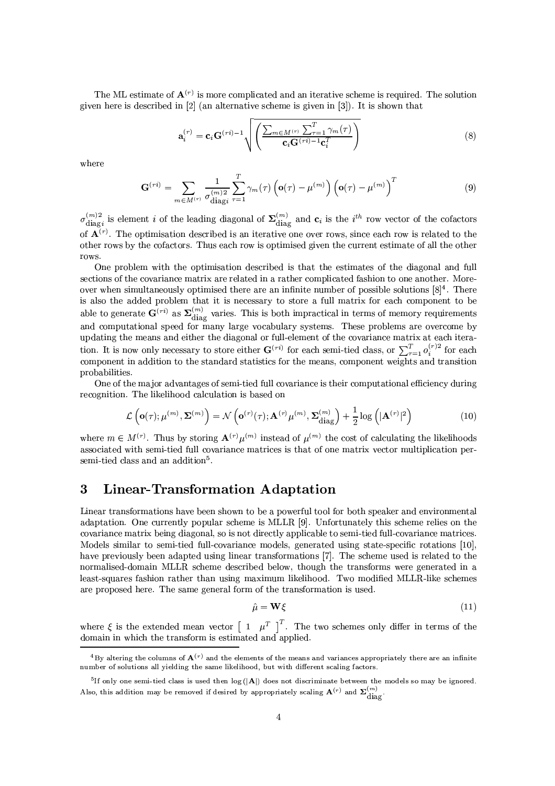The ML estimate of  $\mathbf{A}^{(r)}$  is more complicated and an iterative scheme is required. The solution given here is described in [2] (an alternative scheme is given in  $[3]$ ). It is shown that

$$
\mathbf{a}_{i}^{(r)} = \mathbf{c}_{i} \mathbf{G}^{(ri)-1} \sqrt{\left(\frac{\sum_{m \in M^{(r)}} \sum_{\tau=1}^{T} \gamma_{m}(\tau)}{\mathbf{c}_{i} \mathbf{G}^{(ri)-1} \mathbf{c}_{i}^{T}}\right)}
$$
(8)

where

$$
\mathbf{G}^{(\tau i)} = \sum_{m \in M^{(\tau)}} \frac{1}{\sigma_{\text{diag}i}^{(m)2}} \sum_{\tau=1}^{T} \gamma_m(\tau) \left( \mathbf{o}(\tau) - \mu^{(m)} \right) \left( \mathbf{o}(\tau) - \mu^{(m)} \right)^T \tag{9}
$$

 $\sigma_{\text{diag}i}^{(m)2}$  is element *i* of the leading diagonal of  $\Sigma_{\text{diag}}^{(m)}$  and  $\mathbf{c}_i$  is the *i*<sup>th</sup> row vector of the cofactors of  $\mathbf{A}^{(r)}$ . The optimisation described is an iterative one over rows, since each row is related to the other rows by the cofactors. Thus each row is optimised given the current estimate of all the other rows.

One problem with the optimisation described is that the estimates of the diagonal and full sections of the covariance matrix are related in a rather complicated fashion to one another. Moreover when simultaneously optimised there are an infinite number of possible solutions  $[8]^4$ . There is also the added problem that it is necessary to store a full matrix for each component to be able to generate  $\mathbf{G}^{(ri)}$  as  $\mathbf{\Sigma}_{\text{diag}}^{(m)}$  varies. This is both impractical in terms of memory requirements and computational speed for many large vocabulary systems. These problems are overcome by updating the means and either the diagonal or full-element of the covariance matrix at each iteration. It is now only necessary to store either  $\mathbf{G}^{(ri)}$  for each semi-tied class, or  $\sum_{\tau=1}^{T} o_i^{(r)}$  for each component in addition to the standard statistics for the means, component weights and transition probabilities.

One of the major advantages of semi-tied full covariance is their computational efficiency during recognition. The likelihood calculation is based on

$$
\mathcal{L}\left(\mathbf{o}(\tau);\mu^{(m)},\mathbf{\Sigma}^{(m)}\right) = \mathcal{N}\left(\mathbf{o}^{(r)}(\tau);\mathbf{A}^{(r)}\mu^{(m)},\mathbf{\Sigma}_{\text{diag}}^{(m)}\right) + \frac{1}{2}\log\left(|\mathbf{A}^{(r)}|^2\right)
$$
(10)

where  $m \in M^{(r)}$ . Thus by storing  $\mathbf{A}^{(r)} \mu^{(m)}$  instead of  $\mu^{(m)}$  the cost of calculating the likelihoods associated with semi-tied full covariance matrices is that of one matrix vector multiplication persemi-tied class and an addition<sup>5</sup>.

### **Linear-Transformation Adaptation** 3

Linear transformations have been shown to be a powerful tool for both speaker and environmental adaptation. One currently popular scheme is MLLR [9]. Unfortunately this scheme relies on the covariance matrix being diagonal, so is not directly applicable to semi-tied full-covariance matrices. Models similar to semi-tied full-covariance models, generated using state-specific rotations [10], have previously been adapted using linear transformations [7]. The scheme used is related to the normalised-domain MLLR scheme described below, though the transforms were generated in a least-squares fashion rather than using maximum likelihood. Two modified MLLR-like schemes are proposed here. The same general form of the transformation is used.

$$
\hat{\mu} = \mathbf{W}\xi \tag{11}
$$

where  $\xi$  is the extended mean vector  $\begin{bmatrix} 1 & \mu^T \end{bmatrix}^T$ . The two schemes only differ in terms of the domain in which the transform is estimated and applied.

<sup>&</sup>lt;sup>4</sup>By altering the columns of  $\mathbf{A}^{(r)}$  and the elements of the means and variances appropriately there are an infinite number of solutions all yielding the same likelihood, but with different scaling factors.

<sup>&</sup>lt;sup>5</sup>If only one semi-tied class is used then  $log(|A|)$  does not discriminate between the models so may be ignored. Also, this addition may be removed if desired by appropriately scaling  $\mathbf{A}^{(r)}$  and  $\mathbf{\Sigma}_{\text{diag}}^{(m)}$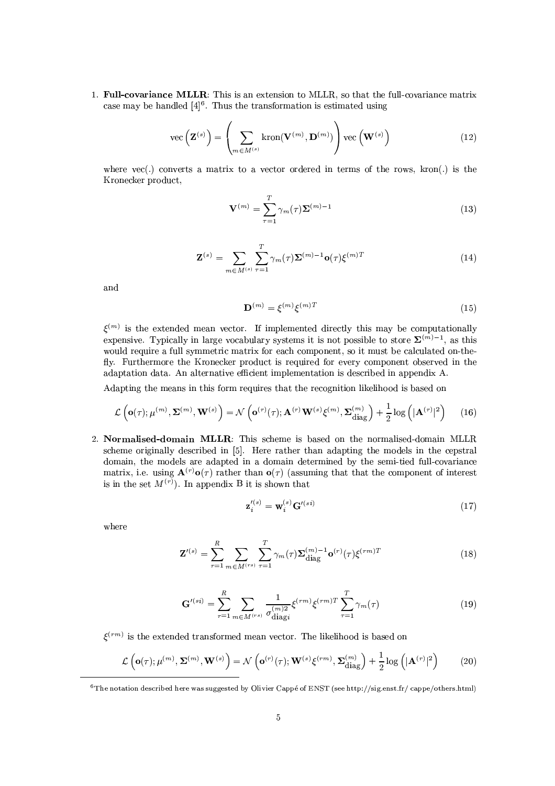1. Full-covariance MLLR: This is an extension to MLLR, so that the full-covariance matrix case may be handled  $[4]^{6}$ . Thus the transformation is estimated using

$$
\text{vec}\left(\mathbf{Z}^{(s)}\right) = \left(\sum_{m \in M^{(s)}} \text{kron}(\mathbf{V}^{(m)}, \mathbf{D}^{(m)})\right) \text{vec}\left(\mathbf{W}^{(s)}\right) \tag{12}
$$

where vec(.) converts a matrix to a vector ordered in terms of the rows, kron(.) is the Kronecker product,

$$
\mathbf{V}^{(m)} = \sum_{\tau=1}^{T} \gamma_m(\tau) \Sigma^{(m)-1}
$$
\n(13)

$$
\mathbf{Z}^{(s)} = \sum_{m \in M^{(s)}} \sum_{\tau=1}^{T} \gamma_m(\tau) \mathbf{\Sigma}^{(m)-1} \mathbf{o}(\tau) \xi^{(m)T}
$$
(14)

and

$$
\mathbf{D}^{(m)} = \xi^{(m)} \xi^{(m)T} \tag{15}
$$

 $\xi^{(m)}$  is the extended mean vector. If implemented directly this may be computationally expensive. Typically in large vocabulary systems it is not possible to store  $\Sigma^{(m)-1}$ , as this would require a full symmetric matrix for each component, so it must be calculated on-thefly. Furthermore the Kronecker product is required for every component observed in the adaptation data. An alternative efficient implementation is described in appendix A.

Adapting the means in this form requires that the recognition likelihood is based on

$$
\mathcal{L}\left(\mathbf{o}(\tau);\mu^{(m)},\mathbf{\Sigma}^{(m)},\mathbf{W}^{(s)}\right) = \mathcal{N}\left(\mathbf{o}^{(r)}(\tau);\mathbf{A}^{(r)}\mathbf{W}^{(s)}\xi^{(m)},\mathbf{\Sigma}_{\text{diag}}^{(m)}\right) + \frac{1}{2}\log\left(|\mathbf{A}^{(r)}|^2\right) \tag{16}
$$

2. Normalised-domain MLLR: This scheme is based on the normalised-domain MLLR scheme originally described in [5]. Here rather than adapting the models in the cepstral domain, the models are adapted in a domain determined by the semi-tied full-covariance matrix, i.e. using  $\mathbf{A}^{(r)}\mathbf{o}(\tau)$  rather than  $\mathbf{o}(\tau)$  (assuming that that the component of interest is in the set  $M^{(r)}$ ). In appendix B it is shown that

$$
\mathbf{z}'_i^{(s)} = \mathbf{w}_i^{(s)} \mathbf{G}'^{(si)}
$$
(17)

where

$$
\mathbf{Z}'^{(s)} = \sum_{r=1}^{R} \sum_{m \in M^{(rs)}} \sum_{\tau=1}^{T} \gamma_m(\tau) \mathbf{\Sigma}_{\text{diag}}^{(m)-1} \mathbf{o}^{(r)}(\tau) \xi^{(rm)T}
$$
(18)

$$
\mathbf{G}^{I(si)} = \sum_{r=1}^{R} \sum_{m \in M^{(rs)}} \frac{1}{\sigma_{\text{diag}i}^{(m)2}} \xi^{(rm)} \xi^{(rm)} T \sum_{r=1}^{T} \gamma_m(\tau) \tag{19}
$$

 $\xi^{(rm)}$  is the extended transformed mean vector. The likelihood is based on

$$
\mathcal{L}\left(\mathbf{o}(\tau);\mu^{(m)},\mathbf{\Sigma}^{(m)},\mathbf{W}^{(s)}\right) = \mathcal{N}\left(\mathbf{o}^{(r)}(\tau);\mathbf{W}^{(s)}\xi^{(rm)},\mathbf{\Sigma}_{\text{diag}}^{(m)}\right) + \frac{1}{2}\log\left(|\mathbf{A}^{(r)}|^2\right) \tag{20}
$$

<sup>&</sup>lt;sup>6</sup>The notation described here was suggested by Olivier Cappé of ENST (see http://sig.enst.fr/cappe/others.html)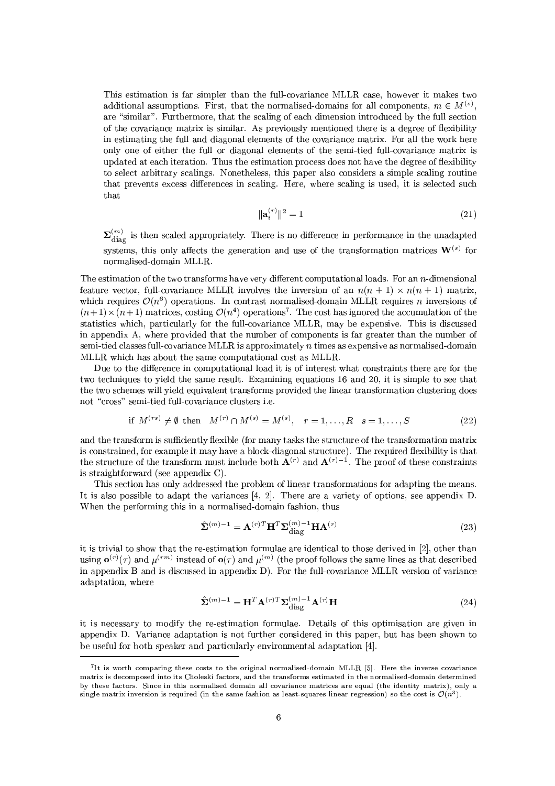This estimation is far simpler than the full-covariance MLLR case, however it makes two additional assumptions. First, that the normalised-domains for all components,  $m \in M^{(s)}$ , are "similar". Furthermore, that the scaling of each dimension introduced by the full section of the covariance matrix is similar. As previously mentioned there is a degree of flexibility in estimating the full and diagonal elements of the covariance matrix. For all the work here only one of either the full or diagonal elements of the semi-tied full-covariance matrix is updated at each iteration. Thus the estimation process does not have the degree of flexibility to select arbitrary scalings. Nonetheless, this paper also considers a simple scaling routine that prevents excess differences in scaling. Here, where scaling is used, it is selected such that

$$
|\mathbf{a}_i^{(r)}\|^2 = 1\tag{21}
$$

 $\mathbf{\Sigma}_{\text{diag}}^{(m)}$  is then scaled appropriately. There is no difference in performance in the unadapted systems, this only affects the generation and use of the transformation matrices  $\mathbf{W}^{(s)}$  for normalised-domain MLLR.

The estimation of the two transforms have very different computational loads. For an  $n$ -dimensional feature vector, full-covariance MLLR involves the inversion of an  $n(n + 1) \times n(n + 1)$  matrix, which requires  $\mathcal{O}(n^6)$  operations. In contrast normalised-domain MLLR requires *n* inversions of  $(n+1) \times (n+1)$  matrices, costing  $\mathcal{O}(n^4)$  operations<sup>7</sup>. The cost has ignored the accumulation of the statistics which, particularly for the full-covariance MLLR, may be expensive. This is discussed in appendix A, where provided that the number of components is far greater than the number of semi-tied classes full-covariance MLLR is approximately  $n$  times as expensive as normalised-domain MLLR which has about the same computational cost as MLLR.

Due to the difference in computational load it is of interest what constraints there are for the two techniques to yield the same result. Examining equations 16 and 20, it is simple to see that the two schemes will yield equivalent transforms provided the linear transformation clustering does not "cross" semi-tied full-covariance clusters i.e.

if 
$$
M^{(rs)} \neq \emptyset
$$
 then  $M^{(r)} \cap M^{(s)} = M^{(s)}$ ,  $r = 1, ..., R$   $s = 1, ..., S$  (22)

and the transform is sufficiently flexible (for many tasks the structure of the transformation matrix is constrained, for example it may have a block-diagonal structure). The required flexibility is that the structure of the transform must include both  $\mathbf{A}^{(r)}$  and  $\mathbf{A}^{(r)-1}$ . The proof of these constraints is straightforward (see appendix C).

This section has only addressed the problem of linear transformations for adapting the means. It is also possible to adapt the variances [4, 2]. There are a variety of options, see appendix  $D$ . When the performing this in a normalised-domain fashion, thus

$$
\hat{\mathbf{\Sigma}}^{(m)-1} = \mathbf{A}^{(r)T} \mathbf{H}^T \mathbf{\Sigma}_{\text{diag}}^{(m)-1} \mathbf{H} \mathbf{A}^{(r)}
$$
\n(23)

it is trivial to show that the re-estimation formulae are identical to those derived in [2], other than using  $\mathbf{o}^{(r)}(\tau)$  and  $\mu^{(rm)}$  instead of  $\mathbf{o}(\tau)$  and  $\mu^{(m)}$  (the proof follows the same lines as that described in appendix B and is discussed in appendix D). For the full-covariance MLLR version of variance adaptation, where

$$
\hat{\Sigma}^{(m)-1} = \mathbf{H}^T \mathbf{A}^{(r)T} \Sigma_{\text{diag}}^{(m)-1} \mathbf{A}^{(r)} \mathbf{H}
$$
\n(24)

it is necessary to modify the re-estimation formulae. Details of this optimisation are given in appendix D. Variance adaptation is not further considered in this paper, but has been shown to be useful for both speaker and particularly environmental adaptation [4].

<sup>&</sup>lt;sup>7</sup>It is worth comparing these costs to the original normalised-domain MLLR [5]. Here the inverse covariance matrix is decomposed into its Choleski factors, and the transforms estimated in the normalised-domain determined by these factors. Since in this normalised domain all covariance matrices are equal (the identity matrix), only a single matrix inversion is required (in the same fashion as least-squares linear regression) so the cost is  $\mathcal{O}(n^3)$ .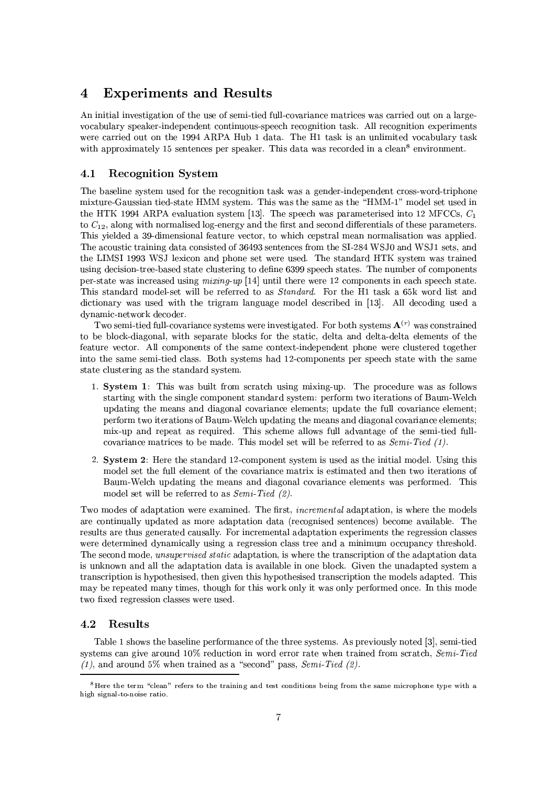### **Experiments and Results**  $\boldsymbol{4}$

An initial investigation of the use of semi-tied full-covariance matrices was carried out on a largevocabulary speaker-independent continuous-speech recognition task. All recognition experiments were carried out on the 1994 ARPA Hub 1 data. The H1 task is an unlimited vocabulary task with approximately 15 sentences per speaker. This data was recorded in a clean<sup>8</sup> environment.

### **Recognition System**  $4.1$

The baseline system used for the recognition task was a gender-independent cross-word-triphone mixture-Gaussian tied-state HMM system. This was the same as the "HMM-1" model set used in the HTK 1994 ARPA evaluation system [13]. The speech was parameterised into 12 MFCCs,  $C_1$ to  $C_{12}$ , along with normalised log-energy and the first and second differentials of these parameters. This vielded a 39-dimensional feature vector, to which cepstral mean normalisation was applied. The acoustic training data consisted of 36493 sentences from the SI-284 WSJ0 and WSJ1 sets, and the LIMSI 1993 WSJ lexicon and phone set were used. The standard HTK system was trained using decision-tree-based state clustering to define 6399 speech states. The number of components per-state was increased using  $\min_q \text{-}up$  [14] until there were 12 components in each speech state. This standard model-set will be referred to as *Standard*. For the H1 task a 65k word list and dictionary was used with the trigram language model described in [13]. All decoding used a dynamic-network decoder.

Two semi-tied full-covariance systems were investigated. For both systems  ${\bf A}^{(r)}$  was constrained to be block-diagonal, with separate blocks for the static, delta and delta-delta elements of the feature vector. All components of the same context-independent phone were clustered together into the same semi-tied class. Both systems had 12-components per speech state with the same state clustering as the standard system.

- 1. System 1: This was built from scratch using mixing-up. The procedure was as follows starting with the single component standard system: perform two iterations of Baum-Welch updating the means and diagonal covariance elements; update the full covariance element; perform two iterations of Baum-Welch updating the means and diagonal covariance elements; mix-up and repeat as required. This scheme allows full advantage of the semi-tied fullcovariance matrices to be made. This model set will be referred to as  $Semi$ -Tied (1).
- 2. System 2: Here the standard 12-component system is used as the initial model. Using this model set the full element of the covariance matrix is estimated and then two iterations of Baum-Welch updating the means and diagonal covariance elements was performed. This model set will be referred to as  $Semi-Tied$  (2).

Two modes of adaptation were examined. The first, *incremental* adaptation, is where the models are continually updated as more adaptation data (recognised sentences) become available. The results are thus generated causally. For incremental adaptation experiments the regression classes were determined dynamically using a regression class tree and a minimum occupancy threshold. The second mode, *unsupervised static* adaptation, is where the transcription of the adaptation data is unknown and all the adaptation data is available in one block. Given the unadapted system a transcription is hypothesised, then given this hypothesised transcription the models adapted. This may be repeated many times, though for this work only it was only performed once. In this mode two fixed regression classes were used.

### $4.2$ Results

Table 1 shows the baseline performance of the three systems. As previously noted [3], semi-tied systems can give around 10% reduction in word error rate when trained from scratch, Semi-Tied  $(1)$ , and around 5% when trained as a "second" pass, Semi-Tied (2).

<sup>&</sup>lt;sup>8</sup>Here the term "clean" refers to the training and test conditions being from the same microphone type with a high signal-to-noise ratio.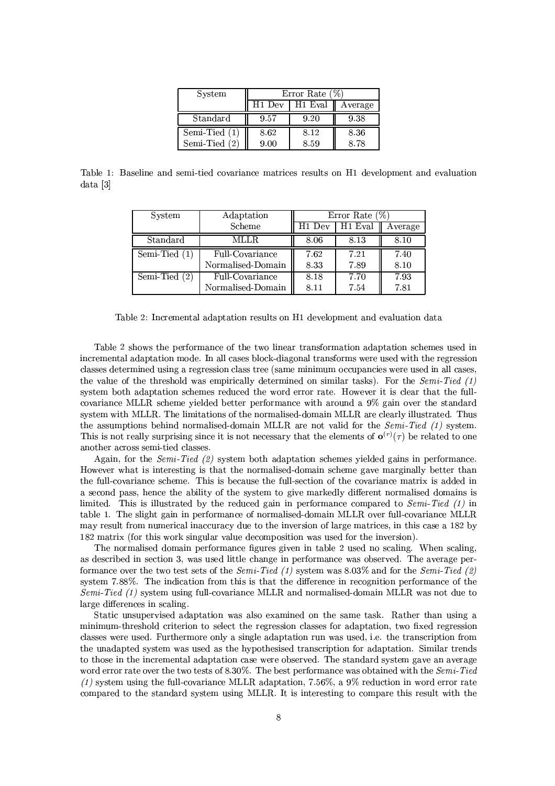| System                           | Error Rate $(\%)$  |                     |              |  |
|----------------------------------|--------------------|---------------------|--------------|--|
|                                  | H <sub>1</sub> Dev | H <sub>1</sub> Eval | Average      |  |
| Standard                         | 9.57               | 9.20                | 9.38         |  |
| Semi-Tied $(1)$<br>Semi-Tied (2) | 8.62<br>9.00       | 8.12<br>8.59        | 8.36<br>8.78 |  |

Table 1: Baseline and semi-tied covariance matrices results on H1 development and evaluation  $data$  [3]

| System          | Adaptation        | Error Rate $(\%)$  |                      |         |
|-----------------|-------------------|--------------------|----------------------|---------|
|                 | Scheme            | H <sub>1</sub> Dev | $\overline{H}1$ Eval | Average |
| Standard        | MLLR.             | 8.06               | 8.13                 | 8.10    |
| Semi-Tied $(1)$ | Full-Covariance   | 7.62               | 7.21                 | 7.40    |
|                 | Normalised-Domain | 8.33               | 7.89                 | 8.10    |
| Semi-Tied $(2)$ | Full-Covariance   | 8.18               | 7.70                 | 7.93    |
|                 | Normalised-Domain | 8.11               | 7.54                 | 7.81    |

Table 2: Incremental adaptation results on H1 development and evaluation data

Table 2 shows the performance of the two linear transformation adaptation schemes used in incremental adaptation mode. In all cases block-diagonal transforms were used with the regression classes determined using a regression class tree (same minimum occupancies were used in all cases, the value of the threshold was empirically determined on similar tasks). For the Semi-Tied  $(1)$ system both adaptation schemes reduced the word error rate. However it is clear that the fullcovariance MLLR scheme yielded better performance with around a 9% gain over the standard system with MLLR. The limitations of the normalised-domain MLLR are clearly illustrated. Thus the assumptions behind normalised-domain MLLR are not valid for the Semi-Tied  $(1)$  system. This is not really surprising since it is not necessary that the elements of  $\mathbf{o}^{(r)}(\tau)$  be related to one another across semi-tied classes.

Again, for the Semi-Tied  $(2)$  system both adaptation schemes yielded gains in performance. However what is interesting is that the normalised-domain scheme gave marginally better than the full-covariance scheme. This is because the full-section of the covariance matrix is added in a second pass, hence the ability of the system to give markedly different normalised domains is limited. This is illustrated by the reduced gain in performance compared to  $Semi-Tied (1)$  in table 1. The slight gain in performance of normalised-domain MLLR over full-covariance MLLR may result from numerical inaccuracy due to the inversion of large matrices, in this case a 182 by 182 matrix (for this work singular value decomposition was used for the inversion).

The normalised domain performance figures given in table 2 used no scaling. When scaling, as described in section 3, was used little change in performance was observed. The average performance over the two test sets of the Semi-Tied (1) system was 8.03% and for the Semi-Tied (2) system 7.88%. The indication from this is that the difference in recognition performance of the Semi-Tied  $(1)$  system using full-covariance MLLR and normalised-domain MLLR was not due to large differences in scaling.

Static unsupervised adaptation was also examined on the same task. Rather than using a minimum-threshold criterion to select the regression classes for adaptation, two fixed regression classes were used. Furthermore only a single adaptation run was used, i.e. the transcription from the unadapted system was used as the hypothesised transcription for adaptation. Similar trends to those in the incremental adaptation case were observed. The standard system gave an average word error rate over the two tests of 8.30%. The best performance was obtained with the Semi-Tied  $(1)$  system using the full-covariance MLLR adaptation, 7.56%, a 9% reduction in word error rate compared to the standard system using MLLR. It is interesting to compare this result with the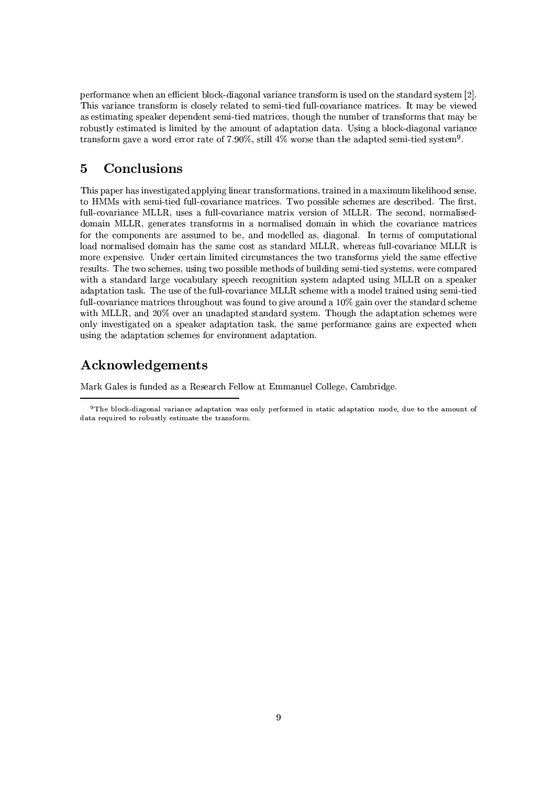performance when an efficient block-diagonal variance transform is used on the standard system [2]. This variance transform is closely related to semi-tied full-covariance matrices. It may be viewed as estimating speaker dependent semi-tied matrices, though the number of transforms that may be robustly estimated is limited by the amount of adaptation data. Using a block-diagonal variance transform gave a word error rate of 7.90%, still 4% worse than the adapted semi-tied system<sup>9</sup>.

### $\overline{5}$ Conclusions

This paper has investigated applying linear transformations, trained in a maximum likelihood sense. to HMMs with semi-tied full-covariance matrices. Two possible schemes are described. The first, full-covariance MLLR, uses a full-covariance matrix version of MLLR. The second, normaliseddomain MLLR, generates transforms in a normalised domain in which the covariance matrices for the components are assumed to be, and modelled as, diagonal. In terms of computational load normalised domain has the same cost as standard MLLR, whereas full-covariance MLLR is more expensive. Under certain limited circumstances the two transforms yield the same effective results. The two schemes, using two possible methods of building semi-tied systems, were compared with a standard large vocabulary speech recognition system adapted using MLLR on a speaker adaptation task. The use of the full-covariance MLLR scheme with a model trained using semi-tied full-covariance matrices throughout was found to give around a 10% gain over the standard scheme with MLLR, and 20% over an unadapted standard system. Though the adaptation schemes were only investigated on a speaker adaptation task, the same performance gains are expected when using the adaptation schemes for environment adaptation.

# Acknowledgements

Mark Gales is funded as a Research Fellow at Emmanuel College, Cambridge.

<sup>&</sup>lt;sup>9</sup>The block-diagonal variance adaptation was only performed in static adaptation mode, due to the amount of data required to robustly estimate the transform.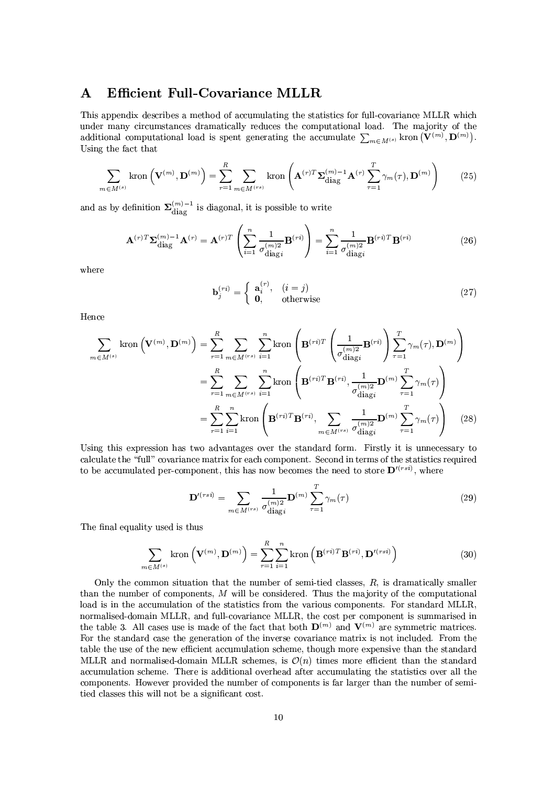### **Efficient Full-Covariance MLLR**  $\mathbf{A}$

This appendix describes a method of accumulating the statistics for full-covariance MLLR which under many circumstances dramatically reduces the computational load. The majority of the additional computational load is spent generating the accumulate  $\sum_{m \in M^{(s)}} \text{kron}(\mathbf{V}^{(m)}, \mathbf{D}^{(m)})$ . Using the fact that

$$
\sum_{m \in M^{(s)}} \text{kron}\left(\mathbf{V}^{(m)}, \mathbf{D}^{(m)}\right) = \sum_{r=1}^{R} \sum_{m \in M^{(rs)}} \text{kron}\left(\mathbf{A}^{(r)T} \mathbf{\Sigma}_{\text{diag}}^{(m)-1} \mathbf{A}^{(r)} \sum_{r=1}^{T} \gamma_m(\tau), \mathbf{D}^{(m)}\right) \tag{25}
$$

and as by definition  $\Sigma_{\text{diag}}^{(m)-1}$  is diagonal, it is possible to write

$$
\mathbf{A}^{(r)T}\mathbf{\Sigma}_{\text{diag}}^{(m)-1}\mathbf{A}^{(r)} = \mathbf{A}^{(r)T}\left(\sum_{i=1}^{n} \frac{1}{\sigma_{\text{diag}i}^{(m)2}} \mathbf{B}^{(ri)}\right) = \sum_{i=1}^{n} \frac{1}{\sigma_{\text{diag}i}^{(m)2}} \mathbf{B}^{(ri)T}\mathbf{B}^{(ri)}
$$
(26)

where

$$
\mathbf{b}_{j}^{(ri)} = \begin{cases} \mathbf{a}_{i}^{(r)}, & (i=j) \\ \mathbf{0}, & \text{otherwise} \end{cases}
$$
 (27)

Hence

$$
\sum_{m \in M^{(s)}} \text{kron}\left(\mathbf{V}^{(m)}, \mathbf{D}^{(m)}\right) = \sum_{r=1}^{R} \sum_{m \in M^{(rs)}} \sum_{i=1}^{n} \text{kron}\left(\mathbf{B}^{(ri)T}\left(\frac{1}{\sigma_{\text{diag}i}^{(m)2}}\mathbf{B}^{(ri)}\right)\sum_{\tau=1}^{T} \gamma_m(\tau), \mathbf{D}^{(m)}\right)
$$
\n
$$
= \sum_{r=1}^{R} \sum_{m \in M^{(rs)}} \sum_{i=1}^{n} \text{kron}\left(\mathbf{B}^{(ri)T}\mathbf{B}^{(ri)}, \frac{1}{\sigma_{\text{diag}i}^{(m)2}}\mathbf{D}^{(m)}\sum_{\tau=1}^{T} \gamma_m(\tau)\right)
$$
\n
$$
= \sum_{r=1}^{R} \sum_{i=1}^{n} \text{kron}\left(\mathbf{B}^{(ri)T}\mathbf{B}^{(ri)}, \sum_{m \in M^{(rs)}} \frac{1}{\sigma_{\text{diag}i}^{(m)2}}\mathbf{D}^{(m)}\sum_{\tau=1}^{T} \gamma_m(\tau)\right) \tag{28}
$$

Using this expression has two advantages over the standard form. Firstly it is unnecessary to calculate the "full" covariance matrix for each component. Second in terms of the statistics required to be accumulated per-component, this has now becomes the need to store  $\mathbf{D}^{(r_{s i})}$ , where

$$
\mathbf{D}^{\prime(rsi)} = \sum_{m \in M^{(rs)}} \frac{1}{\sigma_{\text{diag}i}^{(m)2}} \mathbf{D}^{(m)} \sum_{\tau=1}^{T} \gamma_m(\tau) \tag{29}
$$

The final equality used is thus

$$
\sum_{m \in M^{(s)}} \text{kron}\left(\mathbf{V}^{(m)}, \mathbf{D}^{(m)}\right) = \sum_{r=1}^{R} \sum_{i=1}^{n} \text{kron}\left(\mathbf{B}^{(ri)T} \mathbf{B}^{(ri)}, \mathbf{D}^{\prime (rsi)}\right)
$$
(30)

Only the common situation that the number of semi-tied classes,  $R$ , is dramatically smaller than the number of components,  $M$  will be considered. Thus the majority of the computational load is in the accumulation of the statistics from the various components. For standard MLLR, normalised-domain MLLR, and full-covariance MLLR, the cost per component is summarised in the table 3. All cases use is made of the fact that both  $\mathbf{D}^{(m)}$  and  $\mathbf{V}^{(m)}$  are symmetric matrices. For the standard case the generation of the inverse covariance matrix is not included. From the table the use of the new efficient accumulation scheme, though more expensive than the standard MLLR and normalised-domain MLLR schemes, is  $\mathcal{O}(n)$  times more efficient than the standard accumulation scheme. There is additional overhead after accumulating the statistics over all the components. However provided the number of components is far larger than the number of semitied classes this will not be a significant cost.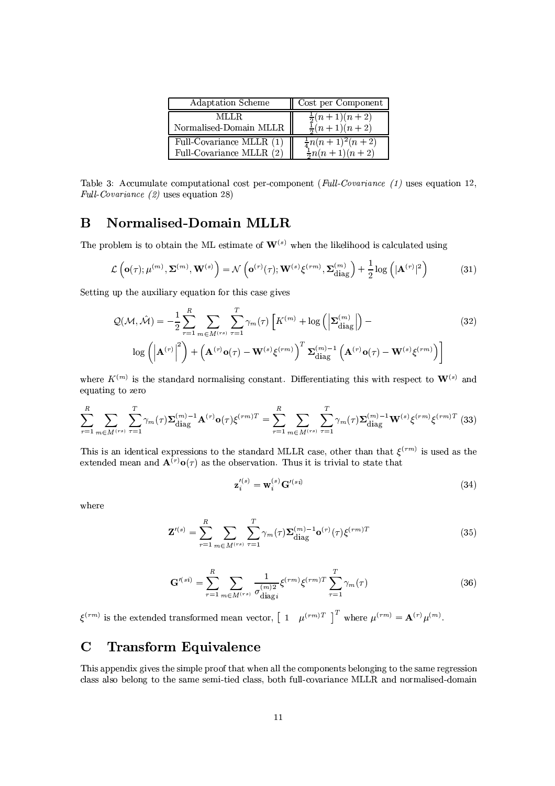| Adaptation Scheme                                      | Cost per Component                                        |  |  |
|--------------------------------------------------------|-----------------------------------------------------------|--|--|
| MLLR.<br>Normalised-Domain MLLR                        | $\frac{1}{2}(n+1)(n+2)$<br>$\frac{1}{2}(n+1)(n+2)$        |  |  |
| Full-Covariance MLLR $(1)$<br>Full-Covariance MLLR (2) | $\frac{\frac{1}{4}n(n+1)^2(n+2)}{\frac{1}{2}n(n+1)(n+2)}$ |  |  |

Table 3: Accumulate computational cost per-component (Full-Covariance  $(1)$  uses equation 12, Full-Covariance  $(2)$  uses equation 28)

### Normalised-Domain MLLR B

The problem is to obtain the ML estimate of  $\mathbf{W}^{(s)}$  when the likelihood is calculated using

$$
\mathcal{L}\left(\mathbf{o}(\tau);\mu^{(m)},\mathbf{\Sigma}^{(m)},\mathbf{W}^{(s)}\right) = \mathcal{N}\left(\mathbf{o}^{(r)}(\tau);\mathbf{W}^{(s)}\xi^{(rm)},\mathbf{\Sigma}_{\text{diag}}^{(m)}\right) + \frac{1}{2}\log\left(|\mathbf{A}^{(r)}|^2\right) \tag{31}
$$

Setting up the auxiliary equation for this case gives

$$
\mathcal{Q}(\mathcal{M},\hat{\mathcal{M}}) = -\frac{1}{2} \sum_{r=1}^{R} \sum_{m \in M^{(rs)}} \sum_{\tau=1}^{T} \gamma_m(\tau) \left[ K^{(m)} + \log \left( \left| \mathbf{\Sigma}_{\text{diag}}^{(m)} \right| \right) - \log \left( \left| \mathbf{A}^{(r)} \right|^{2} \right) + \left( \mathbf{A}^{(r)} \mathbf{o}(\tau) - \mathbf{W}^{(s)} \xi^{(rm)} \right)^{T} \mathbf{\Sigma}_{\text{diag}}^{(m)-1} \left( \mathbf{A}^{(r)} \mathbf{o}(\tau) - \mathbf{W}^{(s)} \xi^{(rm)} \right) \right]
$$
(32)

where  $K^{(m)}$  is the standard normalising constant. Differentiating this with respect to  $\mathbf{W}^{(s)}$  and equating to zero

$$
\sum_{r=1}^{R} \sum_{m \in M^{(rs)}} \sum_{\tau=1}^{T} \gamma_m(\tau) \Sigma_{\text{diag}}^{(m)-1} \mathbf{A}^{(r)} \mathbf{o}(\tau) \xi^{(rm)T} = \sum_{r=1}^{R} \sum_{m \in M^{(rs)}} \sum_{\tau=1}^{T} \gamma_m(\tau) \Sigma_{\text{diag}}^{(m)-1} \mathbf{W}^{(s)} \xi^{(rm)} \xi^{(rm)T} (33)
$$

This is an identical expressions to the standard MLLR case, other than that  $\xi^{(rm)}$  is used as the extended mean and  $\mathbf{A}^{(r)}\mathbf{o}(\tau)$  as the observation. Thus it is trivial to state that

$$
\mathbf{z}'_i^{(s)} = \mathbf{w}_i^{(s)} \mathbf{G}'^{(si)}
$$
\n(34)

where

$$
\mathbf{Z}^{\prime(s)} = \sum_{r=1}^{R} \sum_{m \in M^{(rs)}} \sum_{\tau=1}^{T} \gamma_m(\tau) \mathbf{\Sigma}_{\text{diag}}^{(m)-1} \mathbf{o}^{(r)}(\tau) \xi^{(rm)T}
$$
(35)

$$
\mathbf{G}'^{(si)} = \sum_{r=1}^{R} \sum_{m \in M^{(rs)}} \frac{1}{\sigma_{\text{diag}i}^{(m)2}} \xi^{(rm)} \xi^{(rm)T} \sum_{\tau=1}^{T} \gamma_m(\tau) \tag{36}
$$

 $\xi^{(rm)}$  is the extended transformed mean vector,  $\begin{bmatrix} 1 & \mu^{(rm)T} \end{bmatrix}^T$  where  $\mu^{(rm)} = \mathbf{A}^{(r)} \mu^{(m)}$ .

### **Transform Equivalence**  $\mathbf C$

This appendix gives the simple proof that when all the components belonging to the same regression class also belong to the same semi-tied class, both full-covariance MLLR and normalised-domain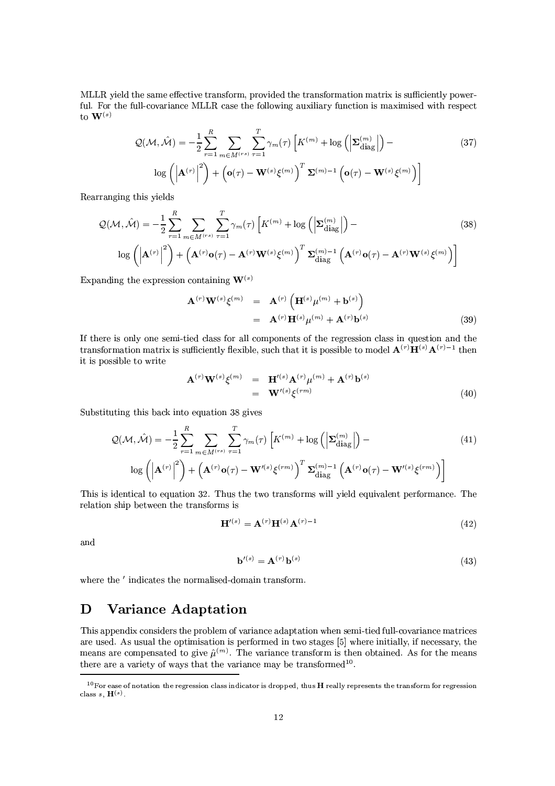MLLR yield the same effective transform, provided the transformation matrix is sufficiently powerful. For the full-covariance MLLR case the following auxiliary function is maximised with respect to  $\mathbf{W}^{(s)}$ 

$$
\mathcal{Q}(\mathcal{M},\hat{\mathcal{M}}) = -\frac{1}{2} \sum_{r=1}^{R} \sum_{m \in \mathcal{M}^{(rs)}} \sum_{\tau=1}^{T} \gamma_m(\tau) \left[ K^{(m)} + \log \left( \left| \mathbf{\Sigma}_{\text{diag}}^{(m)} \right| \right) - \log \left( \left| \mathbf{A}^{(r)} \right|^{2} \right) + \left( \mathbf{o}(\tau) - \mathbf{W}^{(s)} \xi^{(m)} \right) \right] \tag{37}
$$

Rearranging this yields

$$
Q(\mathcal{M}, \hat{\mathcal{M}}) = -\frac{1}{2} \sum_{r=1}^{R} \sum_{m \in M^{(rs)}} \sum_{\tau=1}^{T} \gamma_m(\tau) \left[ K^{(m)} + \log \left( \left| \mathbf{\Sigma}_{\text{diag}}^{(m)} \right| \right) - \log \left( \left| \mathbf{A}^{(r)} \right|^{2} \right) + \left( \mathbf{A}^{(r)} \mathbf{o}(\tau) - \mathbf{A}^{(r)} \mathbf{W}^{(s)} \xi^{(m)} \right)^{T} \mathbf{\Sigma}_{\text{diag}}^{(m)-1} \left( \mathbf{A}^{(r)} \mathbf{o}(\tau) - \mathbf{A}^{(r)} \mathbf{W}^{(s)} \xi^{(m)} \right) \right]
$$
(38)

Expanding the expression containing  $\mathbf{W}^{(s)}$ 

$$
\mathbf{A}^{(r)}\mathbf{W}^{(s)}\xi^{(m)} = \mathbf{A}^{(r)}\left(\mathbf{H}^{(s)}\mu^{(m)} + \mathbf{b}^{(s)}\right)
$$

$$
= \mathbf{A}^{(r)}\mathbf{H}^{(s)}\mu^{(m)} + \mathbf{A}^{(r)}\mathbf{b}^{(s)}
$$
(39)

If there is only one semi-tied class for all components of the regression class in question and the transformation matrix is sufficiently flexible, such that it is possible to model  $\mathbf{A}^{(r)}\mathbf{H}^{(s)}\mathbf{A}^{(r)-1}$  then it is possible to write

$$
\mathbf{A}^{(r)}\mathbf{W}^{(s)}\xi^{(m)} = \mathbf{H}'^{(s)}\mathbf{A}^{(r)}\mu^{(m)} + \mathbf{A}^{(r)}\mathbf{b}^{(s)}
$$
  
= 
$$
\mathbf{W}'^{(s)}\xi^{(rm)}
$$
 (40)

Substituting this back into equation 38 gives

$$
\mathcal{Q}(\mathcal{M},\hat{\mathcal{M}}) = -\frac{1}{2} \sum_{r=1}^{R} \sum_{m \in \mathcal{M}^{(rs)}} \sum_{\tau=1}^{T} \gamma_m(\tau) \left[ K^{(m)} + \log \left( \left| \mathbf{\Sigma}_{\text{diag}}^{(m)} \right| \right) - \log \left( \left| \mathbf{A}^{(r)} \right|^{2} \right) + \left( \mathbf{A}^{(r)} \mathbf{o}(\tau) - \mathbf{W}^{\prime(s)} \xi^{(rm)} \right)^{T} \mathbf{\Sigma}_{\text{diag}}^{(m)-1} \left( \mathbf{A}^{(r)} \mathbf{o}(\tau) - \mathbf{W}^{\prime(s)} \xi^{(rm)} \right) \right]
$$
(41)

This is identical to equation 32. Thus the two transforms will yield equivalent performance. The relation ship between the transforms is

$$
\mathbf{H}^{\prime(s)} = \mathbf{A}^{(r)} \mathbf{H}^{(s)} \mathbf{A}^{(r)-1} \tag{42}
$$

and

$$
\mathbf{b}'^{(s)} = \mathbf{A}^{(r)} \mathbf{b}^{(s)} \tag{43}
$$

where the ' indicates the normalised-domain transform.

### **Variance Adaptation** D

This appendix considers the problem of variance adaptation when semi-tied full-covariance matrices are used. As usual the optimisation is performed in two stages [5] where initially, if necessary, the means are compensated to give  $\hat{\mu}^{(m)}$ . The variance transform is then obtained. As for the means there are a variety of ways that the variance may be transformed<sup>10</sup>.

 $^{10}$  For ease of notation the regression class indicator is dropped, thus  $\bf H$  really represents the transform for regression class  $s, H(s)$ .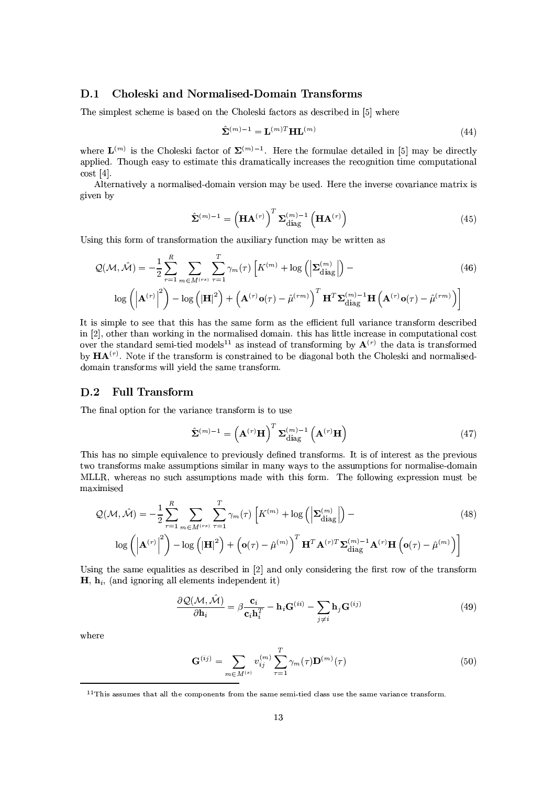### $D.1$ **Choleski and Normalised-Domain Transforms**

The simplest scheme is based on the Choleski factors as described in [5] where

$$
\hat{\mathbf{\Sigma}}^{(m)-1} = \mathbf{L}^{(m)T} \mathbf{H} \mathbf{L}^{(m)} \tag{44}
$$

where  $\mathbf{L}^{(m)}$  is the Choleski factor of  $\Sigma^{(m)-1}$ . Here the formulae detailed in [5] may be directly applied. Though easy to estimate this dramatically increases the recognition time computational  $\cos t$  [4].

Alternatively a normalised-domain version may be used. Here the inverse covariance matrix is given by

$$
\hat{\mathbf{\Sigma}}^{(m)-1} = \left(\mathbf{H}\mathbf{A}^{(r)}\right)^T \mathbf{\Sigma}_{\text{diag}}^{(m)-1} \left(\mathbf{H}\mathbf{A}^{(r)}\right)
$$
\n(45)

Using this form of transformation the auxiliary function may be written as

$$
\mathcal{Q}(\mathcal{M},\hat{\mathcal{M}}) = -\frac{1}{2} \sum_{r=1}^{R} \sum_{m \in \mathcal{M}^{(rs)}} \sum_{\tau=1}^{T} \gamma_m(\tau) \left[ K^{(m)} + \log \left( \left| \mathbf{\Sigma}_{\text{diag}}^{(m)} \right| \right) - \log \left( \left| \mathbf{A}^{(r)} \right|^{2} \right) - \log \left( \left| \mathbf{H} \right|^{2} \right) + \left( \mathbf{A}^{(r)} \mathbf{o}(\tau) - \hat{\mu}^{(rm)} \right)^{T} \mathbf{H}^{T} \mathbf{\Sigma}_{\text{diag}}^{(m)-1} \mathbf{H} \left( \mathbf{A}^{(r)} \mathbf{o}(\tau) - \hat{\mu}^{(rm)} \right) \right]
$$
(46)

It is simple to see that this has the same form as the efficient full variance transform described in [2], other than working in the normalised domain. this has little increase in computational cost over the standard semi-tied models<sup>11</sup> as instead of transforming by  $A^{(r)}$  the data is transformed by  $\mathbf{HA}^{(r)}$ . Note if the transform is constrained to be diagonal both the Choleski and normaliseddomain transforms will yield the same transform.

### $D.2$ **Full Transform**

The final option for the variance transform is to use

$$
\hat{\mathbf{\Sigma}}^{(m)-1} = \left(\mathbf{A}^{(r)}\mathbf{H}\right)^T \mathbf{\Sigma}_{\text{diag}}^{(m)-1} \left(\mathbf{A}^{(r)}\mathbf{H}\right)
$$
\n(47)

This has no simple equivalence to previously defined transforms. It is of interest as the previous two transforms make assumptions similar in many ways to the assumptions for normalise-domain MLLR, whereas no such assumptions made with this form. The following expression must be maximised

$$
\mathcal{Q}(\mathcal{M},\hat{\mathcal{M}}) = -\frac{1}{2} \sum_{r=1}^{R} \sum_{m \in \mathcal{M}^{(rs)}} \sum_{\tau=1}^{T} \gamma_m(\tau) \left[ K^{(m)} + \log \left( \left| \mathbf{\Sigma}_{\text{diag}}^{(m)} \right| \right) - \log \left( \left| \mathbf{A}^{(r)} \right|^{2} \right) - \log \left( \left| \mathbf{H} \right|^{2} \right) + \left( \mathbf{o}(\tau) - \hat{\boldsymbol{\mu}}^{(m)} \right)^{T} \mathbf{H}^{T} \mathbf{A}^{(r)T} \mathbf{\Sigma}_{\text{diag}}^{(m)-1} \mathbf{A}^{(r)} \mathbf{H} \left( \mathbf{o}(\tau) - \hat{\boldsymbol{\mu}}^{(m)} \right) \right]
$$
\n(48)

Using the same equalities as described in  $[2]$  and only considering the first row of the transform  $\mathbf{H}, \mathbf{h}_i$ , (and ignoring all elements independent it)

$$
\frac{\partial \mathcal{Q}(\mathcal{M}, \mathcal{M})}{\partial \mathbf{h}_i} = \beta \frac{\mathbf{c}_i}{\mathbf{c}_i \mathbf{h}_i^T} - \mathbf{h}_i \mathbf{G}^{(ii)} - \sum_{j \neq i} \mathbf{h}_j \mathbf{G}^{(ij)}
$$
(49)

where

$$
\mathbf{G}^{(ij)} = \sum_{m \in M^{(s)}} v_{ij}^{(m)} \sum_{\tau=1}^{T} \gamma_m(\tau) \mathbf{D}^{(m)}(\tau)
$$
 (50)

 $11$ This assumes that all the components from the same semi-tied class use the same variance transform.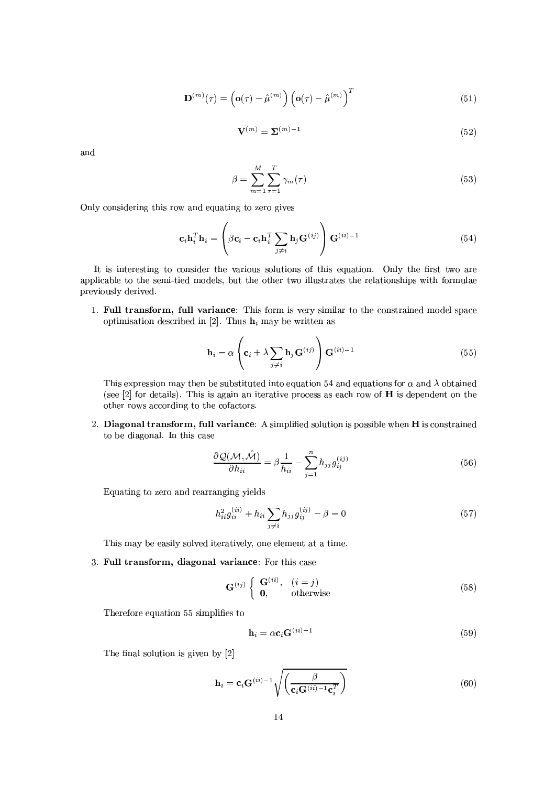$$
\mathbf{D}^{(m)}(\tau) = \left(\mathbf{o}(\tau) - \hat{\mu}^{(m)}\right) \left(\mathbf{o}(\tau) - \hat{\mu}^{(m)}\right)^{T} \tag{51}
$$

$$
\mathbf{V}^{(m)} = \Sigma^{(m)-1} \tag{52}
$$

and

$$
\beta = \sum_{m=1}^{M} \sum_{\tau=1}^{T} \gamma_m(\tau) \tag{53}
$$

Only considering this row and equating to zero gives

$$
\mathbf{c}_i \mathbf{h}_i^T \mathbf{h}_i = \left( \beta \mathbf{c}_i - \mathbf{c}_i \mathbf{h}_i^T \sum_{j \neq i} \mathbf{h}_j \mathbf{G}^{(ij)} \right) \mathbf{G}^{(ii)-1}
$$
(54)

It is interesting to consider the various solutions of this equation. Only the first two are applicable to the semi-tied models, but the other two illustrates the relationships with formulae previously derived.

1. Full transform, full variance: This form is very similar to the constrained model-space optimisation described in [2]. Thus  $h_i$  may be written as

$$
\mathbf{h}_{i} = \alpha \left( \mathbf{c}_{i} + \lambda \sum_{j \neq i} \mathbf{h}_{j} \mathbf{G}^{(ij)} \right) \mathbf{G}^{(ii)-1}
$$
\n(55)

This expression may then be substituted into equation 54 and equations for  $\alpha$  and  $\lambda$  obtained (see [2] for details). This is again an iterative process as each row of  $H$  is dependent on the other rows according to the cofactors.

2. Diagonal transform, full variance: A simplified solution is possible when  $H$  is constrained to be diagonal. In this case

$$
\frac{\partial \mathcal{Q}(\mathcal{M}, \hat{\mathcal{M}})}{\partial h_{ii}} = \beta \frac{1}{h_{ii}} - \sum_{j=1}^{n} h_{jj} g_{ij}^{(ij)}
$$
(56)

Equating to zero and rearranging yields

$$
h_{ii}^2 g_{ii}^{(ii)} + h_{ii} \sum_{j \neq i} h_{jj} g_{ij}^{(ij)} - \beta = 0
$$
 (57)

This may be easily solved iteratively, one element at a time.

3. Full transform, diagonal variance: For this case

$$
\mathbf{G}^{(ij)} \left\{ \begin{array}{ll} \mathbf{G}^{(ii)}, & (i=j) \\ \mathbf{0}, & \text{otherwise} \end{array} \right. \tag{58}
$$

Therefore equation 55 simplifies to

$$
\mathbf{h}_i = \alpha \mathbf{c}_i \mathbf{G}^{(ii)-1} \tag{59}
$$

The final solution is given by [2]

$$
\mathbf{h}_{i} = \mathbf{c}_{i} \mathbf{G}^{(ii)-1} \sqrt{\left(\frac{\beta}{\mathbf{c}_{i} \mathbf{G}^{(ii)-1} \mathbf{c}_{i}^{T}}\right)}
$$
(60)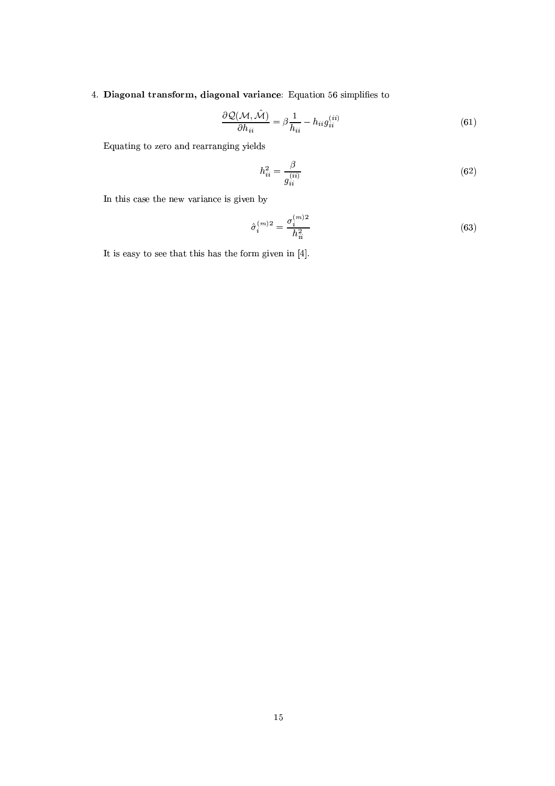# 4. Diagonal transform, diagonal variance: Equation 56 simplifies to

$$
\frac{\partial \mathcal{Q}(\mathcal{M}, \hat{\mathcal{M}})}{\partial h_{ii}} = \beta \frac{1}{h_{ii}} - h_{ii} g_{ii}^{(ii)}
$$
(61)

Equating to zero and rearranging yields

$$
h_{ii}^2 = \frac{\beta}{g_{ii}^{(ii)}}
$$
\n
$$
(62)
$$

In this case the new variance is given by

$$
\hat{\sigma}_i^{(m)2} = \frac{\sigma_i^{(m)2}}{h_{ii}^2} \tag{63}
$$

It is easy to see that this has the form given in  $[4]$ .